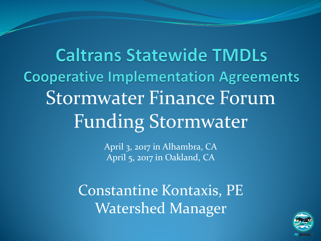**Caltrans Statewide TMDLs Cooperative Implementation Agreements** Stormwater Finance Forum Funding Stormwater

> April 3, 2017 in Alhambra, CA April 5, 2017 in Oakland, CA

Constantine Kontaxis, PE Watershed Manager

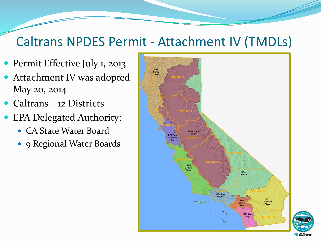### Caltrans NPDES Permit - Attachment IV (TMDLs)

- Permit Effective July 1, 2013
- Attachment IV was adopted May 20, 2014
- Caltrans 12 Districts
- EPA Delegated Authority:
	- CA State Water Board
	- 9 Regional Water Boards



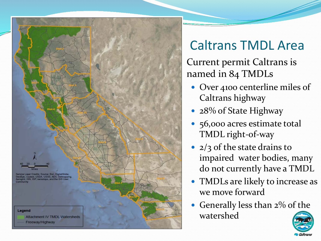

### Caltrans TMDL Area

Current permit Caltrans is named in 84 TMDLs

- Over 4100 centerline miles of Caltrans highway
- 28% of State Highway
- 56,000 acres estimate total TMDL right-of-way
- 2/3 of the state drains to impaired water bodies, many do not currently have a TMDL
- TMDLs are likely to increase as we move forward
- Generally less than 2% of the watershed

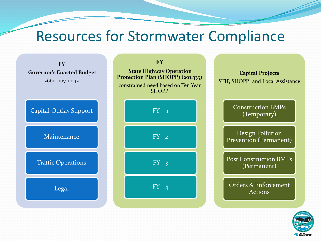### Resources for Stormwater Compliance



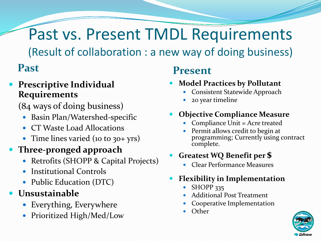# Past vs. Present TMDL Requirements

(Result of collaboration : a new way of doing business)

#### **Prescriptive Individual Requirements**

(84 ways of doing business)

- Basin Plan/Watershed-specific
- CT Waste Load Allocations
- Time lines varied (10 to 30+ yrs)

#### **Three-pronged approach**

- Retrofits (SHOPP & Capital Projects)
- Institutional Controls
- Public Education (DTC)

#### **Unsustainable**

- Everything, Everywhere
- Prioritized High/Med/Low

#### **Past Present**

- **Model Practices by Pollutant**
	- Consistent Statewide Approach
	- 20 year timeline
- **Objective Compliance Measure**
	- Compliance Unit = Acre treated
	- Permit allows credit to begin at programming; Currently using contract complete.

#### **Greatest WQ Benefit per \$**

Clear Performance Measures

#### **Flexibility in Implementation**

- SHOPP 335
- Additional Post Treatment
- Cooperative Implementation
- **Other**

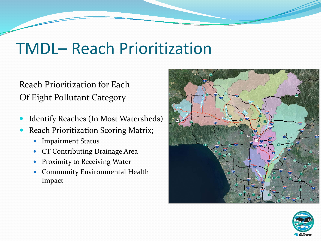## TMDL– Reach Prioritization

#### Reach Prioritization for Each Of Eight Pollutant Category

- Identify Reaches (In Most Watersheds)
- Reach Prioritization Scoring Matrix;
	- Impairment Status
	- CT Contributing Drainage Area
	- **•** Proximity to Receiving Water
	- Community Environmental Health Impact



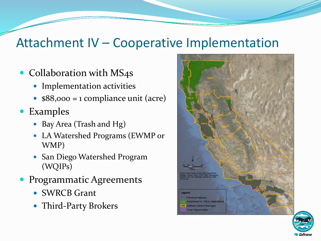### Attachment IV – Cooperative Implementation

- Collaboration with MS4s
	- Implementation activities
	- $\bullet$  \$88,000 = 1 compliance unit (acre)
- Examples
	- Bay Area (Trash and Hg)
	- LA Watershed Programs (EWMP or WMP)
	- San Diego Watershed Program (WQIPs)
- **Programmatic Agreements** 
	- SWRCB Grant
	- Third-Party Brokers



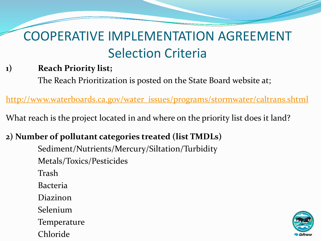#### **1) Reach Priority list;**

The Reach Prioritization is posted on the State Board website at;

[http://www.waterboards.ca.gov/water\\_issues/programs/stormwater/caltrans.shtml](http://www.waterboards.ca.gov/water_issues/programs/stormwater/caltrans.shtml)

What reach is the project located in and where on the priority list does it land?

#### **2) Number of pollutant categories treated (list TMDLs)** Sediment/Nutrients/Mercury/Siltation/Turbidity

Metals/Toxics/Pesticides Trash Bacteria Diazinon Selenium **Temperature** Chloride

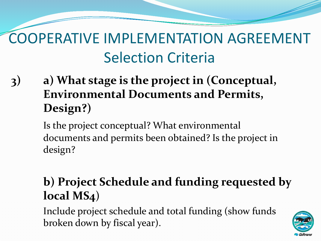**3) a) What stage is the project in (Conceptual, Environmental Documents and Permits, Design?)**

> Is the project conceptual? What environmental documents and permits been obtained? Is the project in design?

### **b) Project Schedule and funding requested by local MS4**)

Include project schedule and total funding (show funds broken down by fiscal year).

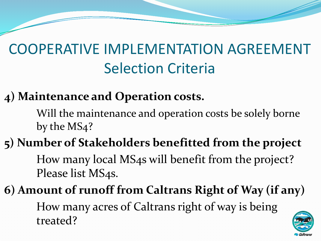### **4) Maintenance and Operation costs.**

Will the maintenance and operation costs be solely borne by the MS4?

### **5) Number of Stakeholders benefitted from the project** How many local MS4s will benefit from the project?

Please list MS4s.

**6) Amount of runoff from Caltrans Right of Way (if any)** How many acres of Caltrans right of way is being treated?

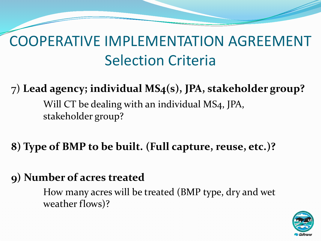7) **Lead agency; individual MS4(s), JPA, stakeholder group?**

Will CT be dealing with an individual MS4, JPA, stakeholder group?

**8) Type of BMP to be built. (Full capture, reuse, etc.)?**

#### **9) Number of acres treated**

How many acres will be treated (BMP type, dry and wet weather flows)?

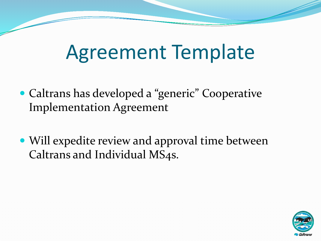# Agreement Template

- Caltrans has developed a "generic" Cooperative Implementation Agreement
- Will expedite review and approval time between Caltrans and Individual MS4s.

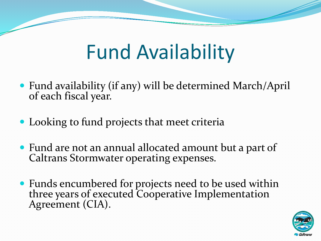# Fund Availability

- Fund availability (if any) will be determined March/April of each fiscal year.
- Looking to fund projects that meet criteria
- Fund are not an annual allocated amount but a part of Caltrans Stormwater operating expenses.
- Funds encumbered for projects need to be used within three years of executed Cooperative Implementation Agreement (CIA).

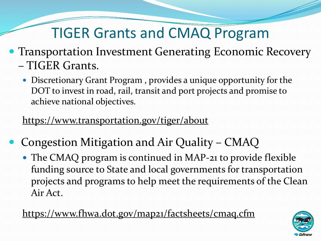### TIGER Grants and CMAQ Program

- Transportation Investment Generating Economic Recovery – TIGER Grants.
	- Discretionary Grant Program , provides a unique opportunity for the DOT to invest in road, rail, transit and port projects and promise to achieve national objectives.

https://www.transportation.gov/tiger/about

- Congestion Mitigation and Air Quality CMAQ
	- The CMAQ program is continued in MAP-21 to provide flexible funding source to State and local governments for transportation projects and programs to help meet the requirements of the Clean Air Act.

https://www.fhwa.dot.gov/map21/factsheets/cmaq.cfm